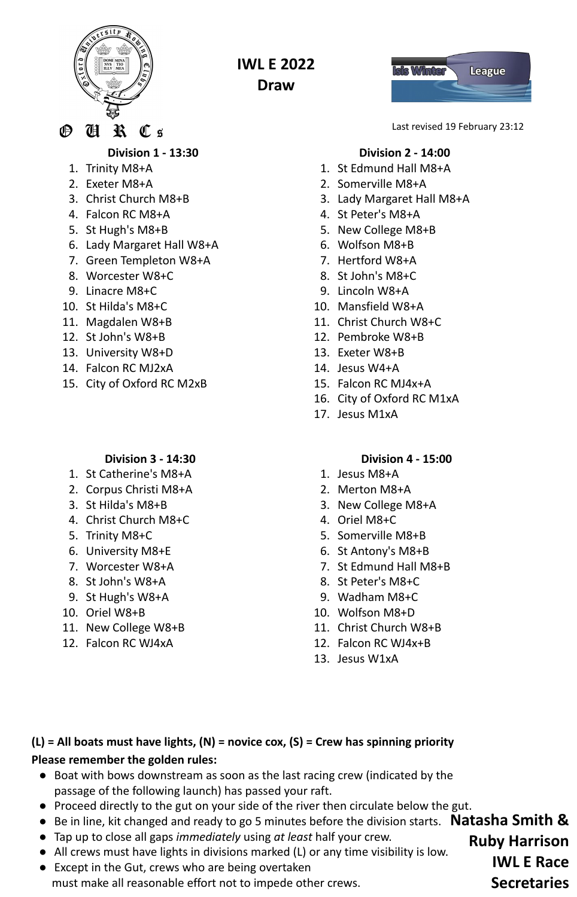

**IWL E 2022 Draw**

℗  $\mathbf{\mathbf{\mathfrak{R}}}$ H  $\mathbf{\mathbb{C}}$  g

**Division 1 - 13:30**

- 1. Trinity M8+A
- 2. Exeter M8+A
- 3. Christ Church M8+B
- 4. Falcon RC M8+A
- 5. St Hugh's M8+B
- 6. Lady Margaret Hall W8+A
- 7. Green Templeton W8+A
- 8. Worcester W8+C
- 9. Linacre M8+C
- 10. St Hilda's M8+C
- 11. Magdalen W8+B
- 12. St John's W8+B
- 13. University W8+D
- 14. Falcon RC MJ2xA
- 15. City of Oxford RC M2xB

## **Division 3 - 14:30**

- 1. St Catherine's M8+A
- 2. Corpus Christi M8+A
- 3. St Hilda's M8+B
- 4. Christ Church M8+C
- 5. Trinity M8+C
- 6. University M8+E
- 7. Worcester W8+A
- 8. St John's W8+A
- 9. St Hugh's W8+A
- 10. Oriel W8+B
- 11. New College W8+B
- 12. Falcon RC WJ4xA



Last revised 19 February 23:12

# **Division 2 - 14:00**

- 1. St Edmund Hall M8+A
- 2. Somerville M8+A
- 3. Lady Margaret Hall M8+A
- 4. St Peter's M8+A
- 5. New College M8+B
- 6. Wolfson M8+B
- 7. Hertford W8+A
- 8. St John's M8+C
- 9. Lincoln W8+A
- 10. Mansfield W8+A
- 11. Christ Church W8+C
- 12. Pembroke W8+B
- 13. Exeter W8+B
- 14. Jesus W4+A
- 15. Falcon RC MJ4x+A
- 16. City of Oxford RC M1xA
- 17. Jesus M1xA

## **Division 4 - 15:00**

- 1. Jesus M8+A
- 2. Merton M8+A
- 3. New College M8+A
- 4. Oriel M8+C
- 5. Somerville M8+B
- 6. St Antony's M8+B
- 7. St Edmund Hall M8+B
- 8. St Peter's M8+C
- 9. Wadham M8+C
- 10. Wolfson M8+D
- 11. Christ Church W8+B
- 12. Falcon RC WJ4x+B
- 13. Jesus W1xA

# **(L) = All boats must have lights, (N) = novice cox, (S) = Crew has spinning priority Please remember the golden rules:**

- Boat with bows downstream as soon as the last racing crew (indicated by the passage of the following launch) has passed your raft.
- Proceed directly to the gut on your side of the river then circulate below the gut.
- Be in line, kit changed and ready to go 5 minutes before the division starts. **Natasha Smith &**
- Tap up to close all gaps *immediately* using *at least* half your crew.
- All crews must have lights in divisions marked (L) or any time visibility is low.
- Except in the Gut, crews who are being overtaken must make all reasonable effort not to impede other crews.

**Ruby Harrison IWL E Race Secretaries**